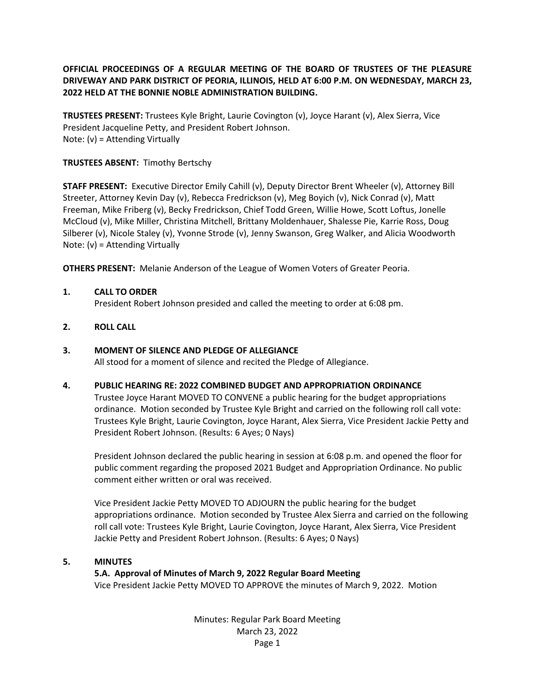#### **OFFICIAL PROCEEDINGS OF A REGULAR MEETING OF THE BOARD OF TRUSTEES OF THE PLEASURE DRIVEWAY AND PARK DISTRICT OF PEORIA, ILLINOIS, HELD AT 6:00 P.M. ON WEDNESDAY, MARCH 23, 2022 HELD AT THE BONNIE NOBLE ADMINISTRATION BUILDING.**

**TRUSTEES PRESENT:** Trustees Kyle Bright, Laurie Covington (v), Joyce Harant (v), Alex Sierra, Vice President Jacqueline Petty, and President Robert Johnson. Note: (v) = Attending Virtually

#### **TRUSTEES ABSENT:** Timothy Bertschy

**STAFF PRESENT:** Executive Director Emily Cahill (v), Deputy Director Brent Wheeler (v), Attorney Bill Streeter, Attorney Kevin Day (v), Rebecca Fredrickson (v), Meg Boyich (v), Nick Conrad (v), Matt Freeman, Mike Friberg (v), Becky Fredrickson, Chief Todd Green, Willie Howe, Scott Loftus, Jonelle McCloud (v), Mike Miller, Christina Mitchell, Brittany Moldenhauer, Shalesse Pie, Karrie Ross, Doug Silberer (v), Nicole Staley (v), Yvonne Strode (v), Jenny Swanson, Greg Walker, and Alicia Woodworth Note: (v) = Attending Virtually

**OTHERS PRESENT:** Melanie Anderson of the League of Women Voters of Greater Peoria.

#### **1. CALL TO ORDER**

President Robert Johnson presided and called the meeting to order at 6:08 pm.

#### **2. ROLL CALL**

#### **3. MOMENT OF SILENCE AND PLEDGE OF ALLEGIANCE**

All stood for a moment of silence and recited the Pledge of Allegiance.

#### **4. PUBLIC HEARING RE: 2022 COMBINED BUDGET AND APPROPRIATION ORDINANCE**

Trustee Joyce Harant MOVED TO CONVENE a public hearing for the budget appropriations ordinance. Motion seconded by Trustee Kyle Bright and carried on the following roll call vote: Trustees Kyle Bright, Laurie Covington, Joyce Harant, Alex Sierra, Vice President Jackie Petty and President Robert Johnson. (Results: 6 Ayes; 0 Nays)

President Johnson declared the public hearing in session at 6:08 p.m. and opened the floor for public comment regarding the proposed 2021 Budget and Appropriation Ordinance. No public comment either written or oral was received.

Vice President Jackie Petty MOVED TO ADJOURN the public hearing for the budget appropriations ordinance. Motion seconded by Trustee Alex Sierra and carried on the following roll call vote: Trustees Kyle Bright, Laurie Covington, Joyce Harant, Alex Sierra, Vice President Jackie Petty and President Robert Johnson. (Results: 6 Ayes; 0 Nays)

#### **5. MINUTES**

#### **5.A. Approval of Minutes of March 9, 2022 Regular Board Meeting**

Vice President Jackie Petty MOVED TO APPROVE the minutes of March 9, 2022. Motion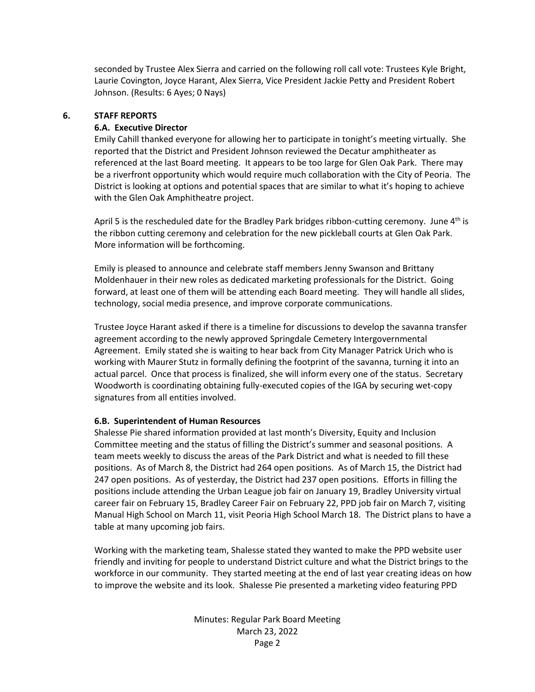seconded by Trustee Alex Sierra and carried on the following roll call vote: Trustees Kyle Bright, Laurie Covington, Joyce Harant, Alex Sierra, Vice President Jackie Petty and President Robert Johnson. (Results: 6 Ayes; 0 Nays)

#### **6. STAFF REPORTS**

#### **6.A. Executive Director**

Emily Cahill thanked everyone for allowing her to participate in tonight's meeting virtually. She reported that the District and President Johnson reviewed the Decatur amphitheater as referenced at the last Board meeting. It appears to be too large for Glen Oak Park. There may be a riverfront opportunity which would require much collaboration with the City of Peoria. The District is looking at options and potential spaces that are similar to what it's hoping to achieve with the Glen Oak Amphitheatre project.

April 5 is the rescheduled date for the Bradley Park bridges ribbon-cutting ceremony. June  $4<sup>th</sup>$  is the ribbon cutting ceremony and celebration for the new pickleball courts at Glen Oak Park. More information will be forthcoming.

Emily is pleased to announce and celebrate staff members Jenny Swanson and Brittany Moldenhauer in their new roles as dedicated marketing professionals for the District. Going forward, at least one of them will be attending each Board meeting. They will handle all slides, technology, social media presence, and improve corporate communications.

Trustee Joyce Harant asked if there is a timeline for discussions to develop the savanna transfer agreement according to the newly approved Springdale Cemetery Intergovernmental Agreement. Emily stated she is waiting to hear back from City Manager Patrick Urich who is working with Maurer Stutz in formally defining the footprint of the savanna, turning it into an actual parcel. Once that process is finalized, she will inform every one of the status. Secretary Woodworth is coordinating obtaining fully-executed copies of the IGA by securing wet-copy signatures from all entities involved.

#### **6.B. Superintendent of Human Resources**

Shalesse Pie shared information provided at last month's Diversity, Equity and Inclusion Committee meeting and the status of filling the District's summer and seasonal positions. A team meets weekly to discuss the areas of the Park District and what is needed to fill these positions. As of March 8, the District had 264 open positions. As of March 15, the District had 247 open positions. As of yesterday, the District had 237 open positions. Efforts in filling the positions include attending the Urban League job fair on January 19, Bradley University virtual career fair on February 15, Bradley Career Fair on February 22, PPD job fair on March 7, visiting Manual High School on March 11, visit Peoria High School March 18. The District plans to have a table at many upcoming job fairs.

Working with the marketing team, Shalesse stated they wanted to make the PPD website user friendly and inviting for people to understand District culture and what the District brings to the workforce in our community. They started meeting at the end of last year creating ideas on how to improve the website and its look. Shalesse Pie presented a marketing video featuring PPD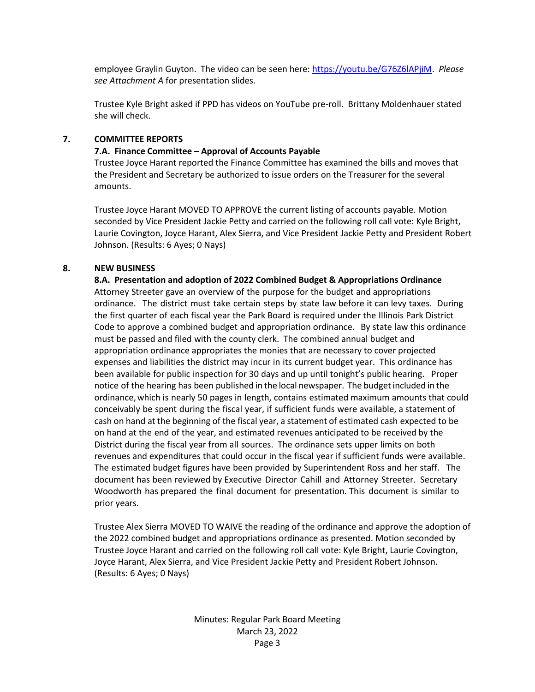employee Graylin Guyton. The video can be seen here: [https://youtu.be/G76Z6lAPjiM.](https://youtu.be/G76Z6lAPjiM) *Please see Attachment A* for presentation slides.

Trustee Kyle Bright asked if PPD has videos on YouTube pre-roll. Brittany Moldenhauer stated she will check.

#### **7. COMMITTEE REPORTS**

#### **7.A. Finance Committee – Approval of Accounts Payable**

Trustee Joyce Harant reported the Finance Committee has examined the bills and moves that the President and Secretary be authorized to issue orders on the Treasurer for the several amounts.

Trustee Joyce Harant MOVED TO APPROVE the current listing of accounts payable. Motion seconded by Vice President Jackie Petty and carried on the following roll call vote: Kyle Bright, Laurie Covington, Joyce Harant, Alex Sierra, and Vice President Jackie Petty and President Robert Johnson. (Results: 6 Ayes; 0 Nays)

#### **8. NEW BUSINESS**

**8.A. Presentation and adoption of 2022 Combined Budget & Appropriations Ordinance** Attorney Streeter gave an overview of the purpose for the budget and appropriations ordinance. The district must take certain steps by state law before it can levy taxes. During the first quarter of each fiscal year the Park Board is required under the Illinois Park District Code to approve a combined budget and appropriation ordinance. By state law this ordinance must be passed and filed with the county clerk. The combined annual budget and appropriation ordinance appropriates the monies that are necessary to cover projected expenses and liabilities the district may incur in its current budget year. This ordinance has been available for public inspection for 30 days and up until tonight's public hearing. Proper notice of the hearing has been published in the local newspaper. The budgetincluded in the ordinance,which is nearly 50 pages in length, contains estimated maximum amounts that could conceivably be spent during the fiscal year, if sufficient funds were available, a statement of cash on hand at the beginning of the fiscal year, a statement of estimated cash expected to be on hand at the end of the year, and estimated revenues anticipated to be received by the District during the fiscal year from all sources. The ordinance sets upper limits on both revenues and expenditures that could occur in the fiscal year if sufficient funds were available. The estimated budget figures have been provided by Superintendent Ross and her staff. The document has been reviewed by Executive Director Cahill and Attorney Streeter. Secretary Woodworth has prepared the final document for presentation. This document is similar to prior years.

Trustee Alex Sierra MOVED TO WAIVE the reading of the ordinance and approve the adoption of the 2022 combined budget and appropriations ordinance as presented. Motion seconded by Trustee Joyce Harant and carried on the following roll call vote: Kyle Bright, Laurie Covington, Joyce Harant, Alex Sierra, and Vice President Jackie Petty and President Robert Johnson. (Results: 6 Ayes; 0 Nays)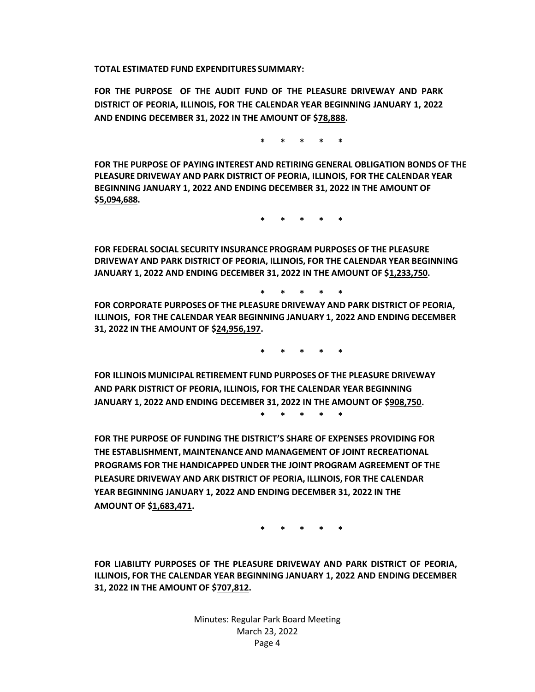**TOTAL ESTIMATED FUND EXPENDITURES SUMMARY:**

**FOR THE PURPOSE OF THE AUDIT FUND OF THE PLEASURE DRIVEWAY AND PARK DISTRICT OF PEORIA, ILLINOIS, FOR THE CALENDAR YEAR BEGINNING JANUARY 1, 2022 AND ENDING DECEMBER 31, 2022 IN THE AMOUNT OF \$78,888.**

**\* \* \* \* \***

**FOR THE PURPOSE OF PAYING INTEREST AND RETIRING GENERAL OBLIGATION BONDS OF THE PLEASURE DRIVEWAY AND PARK DISTRICT OF PEORIA, ILLINOIS, FOR THE CALENDAR YEAR BEGINNING JANUARY 1, 2022 AND ENDING DECEMBER 31, 2022 IN THE AMOUNT OF \$5,094,688.**

**\* \* \* \* \***

**FOR FEDERAL SOCIAL SECURITY INSURANCE PROGRAM PURPOSES OF THE PLEASURE DRIVEWAY AND PARK DISTRICT OF PEORIA, ILLINOIS, FOR THE CALENDAR YEAR BEGINNING JANUARY 1, 2022 AND ENDING DECEMBER 31, 2022 IN THE AMOUNT OF \$1,233,750.**

**\* \* \* \* \***

**FOR CORPORATE PURPOSES OF THE PLEASURE DRIVEWAY AND PARK DISTRICT OF PEORIA, ILLINOIS, FOR THE CALENDAR YEAR BEGINNING JANUARY 1, 2022 AND ENDING DECEMBER 31, 2022 IN THE AMOUNT OF \$24,956,197.**

**\* \* \* \* \***

**FOR ILLINOIS MUNICIPAL RETIREMENT FUND PURPOSES OF THE PLEASURE DRIVEWAY AND PARK DISTRICT OF PEORIA, ILLINOIS, FOR THE CALENDAR YEAR BEGINNING JANUARY 1, 2022 AND ENDING DECEMBER 31, 2022 IN THE AMOUNT OF \$908,750. \* \* \* \* \***

**FOR THE PURPOSE OF FUNDING THE DISTRICT'S SHARE OF EXPENSES PROVIDING FOR THE ESTABLISHMENT, MAINTENANCE AND MANAGEMENT OF JOINT RECREATIONAL PROGRAMS FOR THE HANDICAPPED UNDER THE JOINT PROGRAM AGREEMENT OF THE PLEASURE DRIVEWAY AND ARK DISTRICT OF PEORIA, ILLINOIS, FOR THE CALENDAR YEAR BEGINNING JANUARY 1, 2022 AND ENDING DECEMBER 31, 2022 IN THE AMOUNT OF \$1,683,471.**

**\* \* \* \* \***

**FOR LIABILITY PURPOSES OF THE PLEASURE DRIVEWAY AND PARK DISTRICT OF PEORIA, ILLINOIS, FOR THE CALENDAR YEAR BEGINNING JANUARY 1, 2022 AND ENDING DECEMBER 31, 2022 IN THE AMOUNT OF \$707,812.**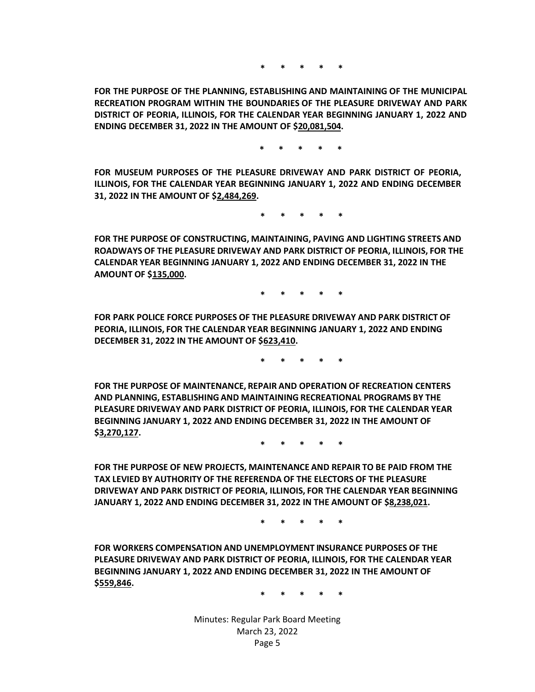**\* \* \* \* \***

**FOR THE PURPOSE OF THE PLANNING, ESTABLISHING AND MAINTAINING OF THE MUNICIPAL RECREATION PROGRAM WITHIN THE BOUNDARIES OF THE PLEASURE DRIVEWAY AND PARK DISTRICT OF PEORIA, ILLINOIS, FOR THE CALENDAR YEAR BEGINNING JANUARY 1, 2022 AND ENDING DECEMBER 31, 2022 IN THE AMOUNT OF \$20,081,504.**

**\* \* \* \* \***

**FOR MUSEUM PURPOSES OF THE PLEASURE DRIVEWAY AND PARK DISTRICT OF PEORIA, ILLINOIS, FOR THE CALENDAR YEAR BEGINNING JANUARY 1, 2022 AND ENDING DECEMBER 31, 2022 IN THE AMOUNT OF \$2,484,269.**

**\* \* \* \* \***

**FOR THE PURPOSE OF CONSTRUCTING, MAINTAINING, PAVING AND LIGHTING STREETS AND ROADWAYS OF THE PLEASURE DRIVEWAY AND PARK DISTRICT OF PEORIA, ILLINOIS, FOR THE CALENDAR YEAR BEGINNING JANUARY 1, 2022 AND ENDING DECEMBER 31, 2022 IN THE AMOUNT OF \$135,000.**

**\* \* \* \* \***

**FOR PARK POLICE FORCE PURPOSES OF THE PLEASURE DRIVEWAY AND PARK DISTRICT OF PEORIA, ILLINOIS, FOR THE CALENDAR YEAR BEGINNING JANUARY 1, 2022 AND ENDING DECEMBER 31, 2022 IN THE AMOUNT OF \$623,410.**

**\* \* \* \* \***

**FOR THE PURPOSE OF MAINTENANCE, REPAIR AND OPERATION OF RECREATION CENTERS AND PLANNING, ESTABLISHING AND MAINTAINING RECREATIONAL PROGRAMS BY THE PLEASURE DRIVEWAY AND PARK DISTRICT OF PEORIA, ILLINOIS, FOR THE CALENDAR YEAR BEGINNING JANUARY 1, 2022 AND ENDING DECEMBER 31, 2022 IN THE AMOUNT OF \$3,270,127.**

**\* \* \* \* \***

**FOR THE PURPOSE OF NEW PROJECTS, MAINTENANCE AND REPAIR TO BE PAID FROM THE TAX LEVIED BY AUTHORITY OF THE REFERENDA OF THE ELECTORS OF THE PLEASURE DRIVEWAY AND PARK DISTRICT OF PEORIA, ILLINOIS, FOR THE CALENDAR YEAR BEGINNING JANUARY 1, 2022 AND ENDING DECEMBER 31, 2022 IN THE AMOUNT OF \$8,238,021.**

**\* \* \* \* \***

**FOR WORKERS COMPENSATION AND UNEMPLOYMENT INSURANCE PURPOSES OF THE PLEASURE DRIVEWAY AND PARK DISTRICT OF PEORIA, ILLINOIS, FOR THE CALENDAR YEAR BEGINNING JANUARY 1, 2022 AND ENDING DECEMBER 31, 2022 IN THE AMOUNT OF \$559,846.**

**\* \* \* \* \***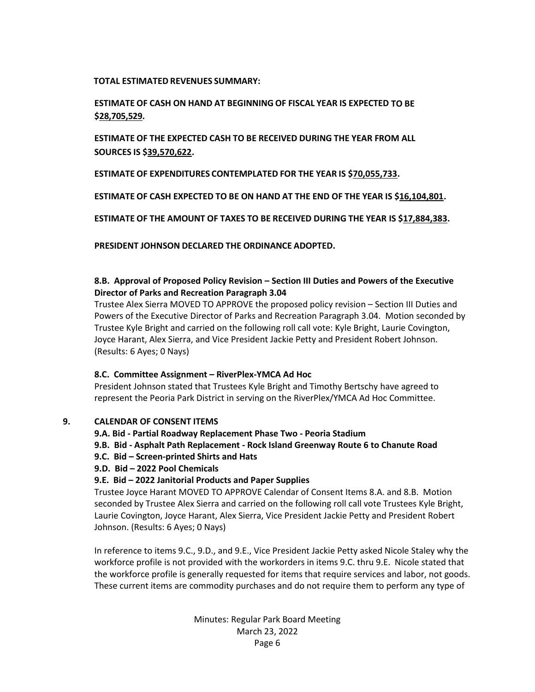#### **TOTAL ESTIMATED REVENUES SUMMARY:**

#### **ESTIMATE OF CASH ON HAND AT BEGINNING OF FISCAL YEAR IS EXPECTED TO BE \$28,705,529.**

**ESTIMATE OF THE EXPECTED CASH TO BE RECEIVED DURING THE YEAR FROM ALL SOURCES IS \$39,570,622.**

**ESTIMATE OF EXPENDITURES CONTEMPLATED FOR THE YEAR IS \$70,055,733.**

**ESTIMATE OF CASH EXPECTED TO BE ON HAND AT THE END OF THE YEAR IS \$16,104,801.**

**ESTIMATE OF THE AMOUNT OF TAXES TO BE RECEIVED DURING THE YEAR IS \$17,884,383.**

**PRESIDENT JOHNSON DECLARED THE ORDINANCE ADOPTED.**

#### **8.B. Approval of Proposed Policy Revision – Section III Duties and Powers of the Executive Director of Parks and Recreation Paragraph 3.04**

Trustee Alex Sierra MOVED TO APPROVE the proposed policy revision – Section III Duties and Powers of the Executive Director of Parks and Recreation Paragraph 3.04.Motion seconded by Trustee Kyle Bright and carried on the following roll call vote: Kyle Bright, Laurie Covington, Joyce Harant, Alex Sierra, and Vice President Jackie Petty and President Robert Johnson. (Results: 6 Ayes; 0 Nays)

#### **8.C. Committee Assignment – RiverPlex-YMCA Ad Hoc**

President Johnson stated that Trustees Kyle Bright and Timothy Bertschy have agreed to represent the Peoria Park District in serving on the RiverPlex/YMCA Ad Hoc Committee.

#### **9. CALENDAR OF CONSENT ITEMS**

- **9.A. Bid - Partial Roadway Replacement Phase Two - Peoria Stadium**
- **9.B. Bid - Asphalt Path Replacement - Rock Island Greenway Route 6 to Chanute Road**
- **9.C. Bid – Screen-printed Shirts and Hats**
- **9.D. Bid – 2022 Pool Chemicals**
- **9.E. Bid – 2022 Janitorial Products and Paper Supplies**

Trustee Joyce Harant MOVED TO APPROVE Calendar of Consent Items 8.A. and 8.B. Motion seconded by Trustee Alex Sierra and carried on the following roll call vote Trustees Kyle Bright, Laurie Covington, Joyce Harant, Alex Sierra, Vice President Jackie Petty and President Robert Johnson. (Results: 6 Ayes; 0 Nays)

In reference to items 9.C., 9.D., and 9.E., Vice President Jackie Petty asked Nicole Staley why the workforce profile is not provided with the workorders in items 9.C. thru 9.E. Nicole stated that the workforce profile is generally requested for items that require services and labor, not goods. These current items are commodity purchases and do not require them to perform any type of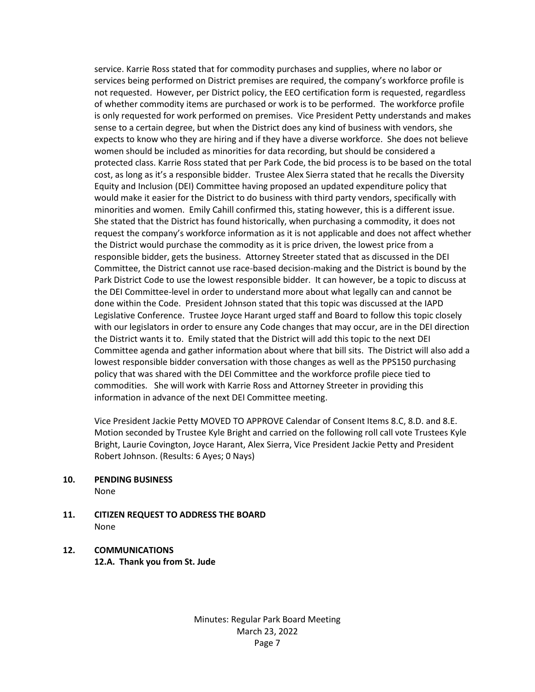service. Karrie Ross stated that for commodity purchases and supplies, where no labor or services being performed on District premises are required, the company's workforce profile is not requested. However, per District policy, the EEO certification form is requested, regardless of whether commodity items are purchased or work is to be performed. The workforce profile is only requested for work performed on premises. Vice President Petty understands and makes sense to a certain degree, but when the District does any kind of business with vendors, she expects to know who they are hiring and if they have a diverse workforce. She does not believe women should be included as minorities for data recording, but should be considered a protected class. Karrie Ross stated that per Park Code, the bid process is to be based on the total cost, as long as it's a responsible bidder. Trustee Alex Sierra stated that he recalls the Diversity Equity and Inclusion (DEI) Committee having proposed an updated expenditure policy that would make it easier for the District to do business with third party vendors, specifically with minorities and women. Emily Cahill confirmed this, stating however, this is a different issue. She stated that the District has found historically, when purchasing a commodity, it does not request the company's workforce information as it is not applicable and does not affect whether the District would purchase the commodity as it is price driven, the lowest price from a responsible bidder, gets the business. Attorney Streeter stated that as discussed in the DEI Committee, the District cannot use race-based decision-making and the District is bound by the Park District Code to use the lowest responsible bidder. It can however, be a topic to discuss at the DEI Committee-level in order to understand more about what legally can and cannot be done within the Code. President Johnson stated that this topic was discussed at the IAPD Legislative Conference. Trustee Joyce Harant urged staff and Board to follow this topic closely with our legislators in order to ensure any Code changes that may occur, are in the DEI direction the District wants it to. Emily stated that the District will add this topic to the next DEI Committee agenda and gather information about where that bill sits. The District will also add a lowest responsible bidder conversation with those changes as well as the PPS150 purchasing policy that was shared with the DEI Committee and the workforce profile piece tied to commodities. She will work with Karrie Ross and Attorney Streeter in providing this information in advance of the next DEI Committee meeting.

Vice President Jackie Petty MOVED TO APPROVE Calendar of Consent Items 8.C, 8.D. and 8.E. Motion seconded by Trustee Kyle Bright and carried on the following roll call vote Trustees Kyle Bright, Laurie Covington, Joyce Harant, Alex Sierra, Vice President Jackie Petty and President Robert Johnson. (Results: 6 Ayes; 0 Nays)

**10. PENDING BUSINESS**

None

**11. CITIZEN REQUEST TO ADDRESS THE BOARD** None

#### **12. COMMUNICATIONS 12.A. Thank you from St. Jude**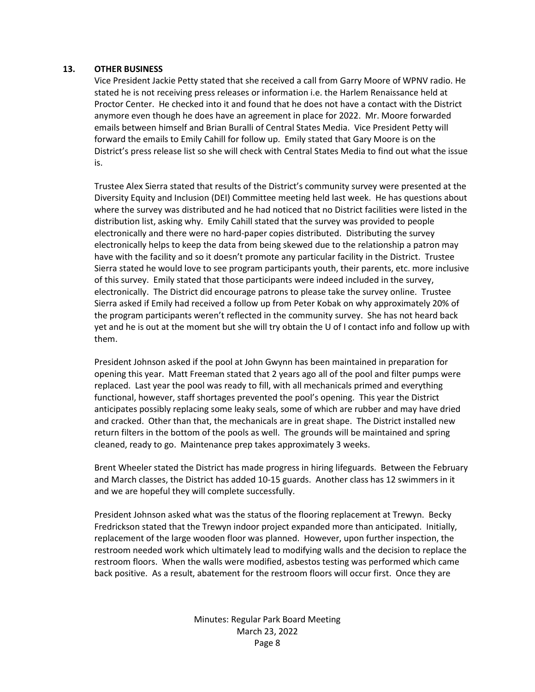#### **13. OTHER BUSINESS**

Vice President Jackie Petty stated that she received a call from Garry Moore of WPNV radio. He stated he is not receiving press releases or information i.e. the Harlem Renaissance held at Proctor Center. He checked into it and found that he does not have a contact with the District anymore even though he does have an agreement in place for 2022. Mr. Moore forwarded emails between himself and Brian Buralli of Central States Media. Vice President Petty will forward the emails to Emily Cahill for follow up. Emily stated that Gary Moore is on the District's press release list so she will check with Central States Media to find out what the issue is.

Trustee Alex Sierra stated that results of the District's community survey were presented at the Diversity Equity and Inclusion (DEI) Committee meeting held last week. He has questions about where the survey was distributed and he had noticed that no District facilities were listed in the distribution list, asking why. Emily Cahill stated that the survey was provided to people electronically and there were no hard-paper copies distributed. Distributing the survey electronically helps to keep the data from being skewed due to the relationship a patron may have with the facility and so it doesn't promote any particular facility in the District. Trustee Sierra stated he would love to see program participants youth, their parents, etc. more inclusive of this survey. Emily stated that those participants were indeed included in the survey, electronically. The District did encourage patrons to please take the survey online. Trustee Sierra asked if Emily had received a follow up from Peter Kobak on why approximately 20% of the program participants weren't reflected in the community survey. She has not heard back yet and he is out at the moment but she will try obtain the U of I contact info and follow up with them.

President Johnson asked if the pool at John Gwynn has been maintained in preparation for opening this year. Matt Freeman stated that 2 years ago all of the pool and filter pumps were replaced. Last year the pool was ready to fill, with all mechanicals primed and everything functional, however, staff shortages prevented the pool's opening. This year the District anticipates possibly replacing some leaky seals, some of which are rubber and may have dried and cracked. Other than that, the mechanicals are in great shape. The District installed new return filters in the bottom of the pools as well. The grounds will be maintained and spring cleaned, ready to go. Maintenance prep takes approximately 3 weeks.

Brent Wheeler stated the District has made progress in hiring lifeguards. Between the February and March classes, the District has added 10-15 guards. Another class has 12 swimmers in it and we are hopeful they will complete successfully.

President Johnson asked what was the status of the flooring replacement at Trewyn. Becky Fredrickson stated that the Trewyn indoor project expanded more than anticipated. Initially, replacement of the large wooden floor was planned. However, upon further inspection, the restroom needed work which ultimately lead to modifying walls and the decision to replace the restroom floors. When the walls were modified, asbestos testing was performed which came back positive. As a result, abatement for the restroom floors will occur first. Once they are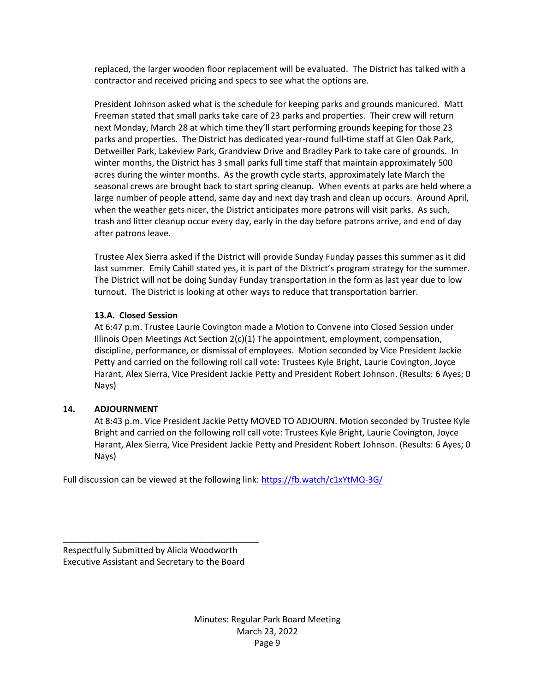replaced, the larger wooden floor replacement will be evaluated. The District has talked with a contractor and received pricing and specs to see what the options are.

President Johnson asked what is the schedule for keeping parks and grounds manicured. Matt Freeman stated that small parks take care of 23 parks and properties. Their crew will return next Monday, March 28 at which time they'll start performing grounds keeping for those 23 parks and properties. The District has dedicated year-round full-time staff at Glen Oak Park, Detweiller Park, Lakeview Park, Grandview Drive and Bradley Park to take care of grounds. In winter months, the District has 3 small parks full time staff that maintain approximately 500 acres during the winter months. As the growth cycle starts, approximately late March the seasonal crews are brought back to start spring cleanup. When events at parks are held where a large number of people attend, same day and next day trash and clean up occurs. Around April, when the weather gets nicer, the District anticipates more patrons will visit parks. As such, trash and litter cleanup occur every day, early in the day before patrons arrive, and end of day after patrons leave.

Trustee Alex Sierra asked if the District will provide Sunday Funday passes this summer as it did last summer. Emily Cahill stated yes, it is part of the District's program strategy for the summer. The District will not be doing Sunday Funday transportation in the form as last year due to low turnout. The District is looking at other ways to reduce that transportation barrier.

#### **13.A. Closed Session**

At 6:47 p.m. Trustee Laurie Covington made a Motion to Convene into Closed Session under Illinois Open Meetings Act Section 2(c)(1) The appointment, employment, compensation, discipline, performance, or dismissal of employees. Motion seconded by Vice President Jackie Petty and carried on the following roll call vote: Trustees Kyle Bright, Laurie Covington, Joyce Harant, Alex Sierra, Vice President Jackie Petty and President Robert Johnson. (Results: 6 Ayes; 0 Nays)

#### **14. ADJOURNMENT**

At 8:43 p.m. Vice President Jackie Petty MOVED TO ADJOURN. Motion seconded by Trustee Kyle Bright and carried on the following roll call vote: Trustees Kyle Bright, Laurie Covington, Joyce Harant, Alex Sierra, Vice President Jackie Petty and President Robert Johnson. (Results: 6 Ayes; 0 Nays)

Full discussion can be viewed at the following link: <https://fb.watch/c1xYtMQ-3G/>

Respectfully Submitted by Alicia Woodworth Executive Assistant and Secretary to the Board

\_\_\_\_\_\_\_\_\_\_\_\_\_\_\_\_\_\_\_\_\_\_\_\_\_\_\_\_\_\_\_\_\_\_\_\_\_\_\_\_\_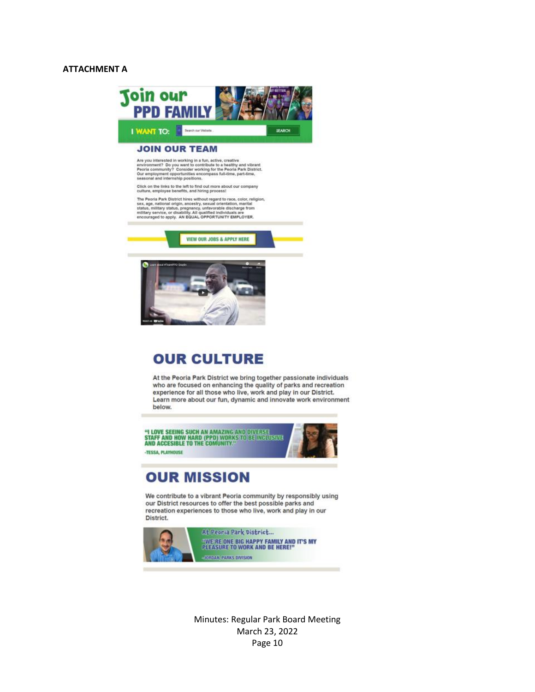#### **ATTACHMENT A**





# **OUR CULTURE**

At the Peoria Park District we bring together passionate individuals who are focused on enhancing the quality of parks and recreation experience for all those who live, work and play in our District. Learn more about our fun, dynamic and innovate work environment helow.

"I LOVE SEEING SUCH AN AMAZING AND DIVERSE<br>STAFF AND HOW HARD (PPD) WORKS TO BE INDUUSIVE<br>AND ACCESIBLE TO THE COMUNITY." -TESSA, PLAYHOUSE

# **OUR MISSION**

We contribute to a vibrant Peoria community by responsibly using our District resources to offer the best possible parks and recreation experiences to those who live, work and play in our District.

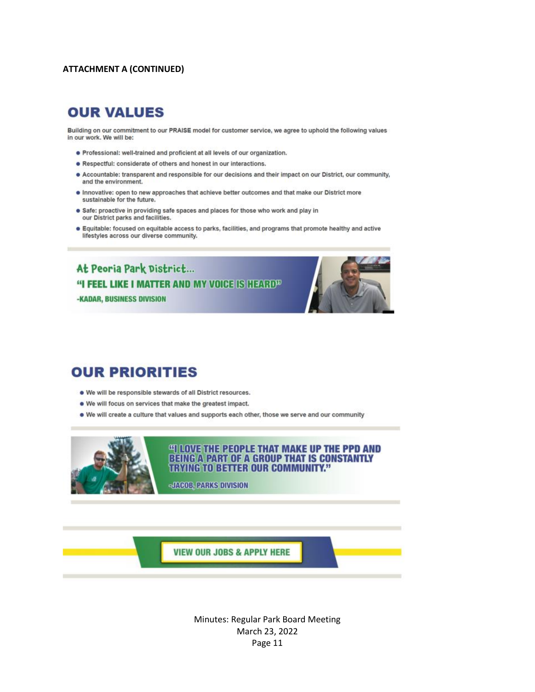#### **ATTACHMENT A (CONTINUED)**

## **OUR VALUES**

Building on our commitment to our PRAISE model for customer service, we agree to uphold the following values in our work. We will be:

- . Professional: well-trained and proficient at all levels of our organization.
- . Respectful: considerate of others and honest in our interactions.
- . Accountable: transparent and responsible for our decisions and their impact on our District, our community, and the environment.
- . Innovative: open to new approaches that achieve better outcomes and that make our District more sustainable for the future.
- . Safe: proactive in providing safe spaces and places for those who work and play in our District parks and facilities.
- · Equitable: focused on equitable access to parks, facilities, and programs that promote healthy and active lifestyles across our diverse community.

At Peoria Park District... "I FEEL LIKE I MATTER AND MY VOICE IS HEARD<sup>33</sup> **-KADAR, BUSINESS DIVISION** 



# **OUR PRIORITIES**

- . We will be responsible stewards of all District resources.
- . We will focus on services that make the greatest impact.
- . We will create a culture that values and supports each other, those we serve and our community



#### **"I LOVE THE PEOPLE THAT MAKE UP THE PPD AND BEING A PART OF A GROUP THAT IS CONSTANTLY TRYING TO BETTER OUR COMMUNITY."**

-JACOB, PARKS DIVISION

**VIEW OUR JOBS & APPLY HERE**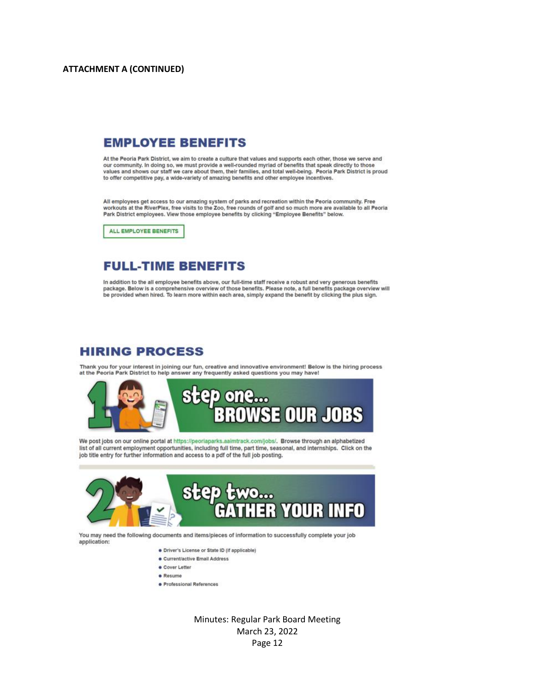### **EMPLOYEE BENEFITS**

At the Peoria Park District, we aim to create a culture that values and supports each other, those we serve and our community. In doing so, we must provide a well-rounded myriad of benefits that speak directly to those values and shows our staff we care about them, their families, and total well-being. Peoria Park District is proud to offer competitive pay, a wide-variety of amazing benefits and other employee incentives.

All employees get access to our amazing system of parks and recreation within the Peoria community. Free workouts at the RiverPlex, free visits to the Zoo, free rounds of golf and so much more are available to all Peoria Park District employees. View those employee benefits by clicking "Employee Benefits" below.

ALL EMPLOYEE BENEFITS

### **FULL-TIME BENEFITS**

In addition to the all employee benefits above, our full-time staff receive a robust and very generous benefits package. Below is a comprehensive overview of those benefits. Please note, a full benefits package overview will be provided when hired. To learn more within each area, simply expand the benefit by clicking the plus sign.

### **HIRING PROCESS**

Thank you for your interest in joining our fun, creative and innovative environment! Below is the hiring process at the Peoria Park District to help answer any frequently asked questions you may have!



We post jobs on our online portal at https://peoriaparks.aaimtrack.com/jobs/. Browse through an alphabetized list of all current employment opportunities, including full time, part time, seasonal, and internships. Click on the job title entry for further information and access to a pdf of the full job posting.



You may need the following documents and items/pieces of information to successfully complete your job application:

- · Driver's License or State ID (if applicable)
- · Current/active Email Address
- · Cover Letter
- · Resume
- · Professional References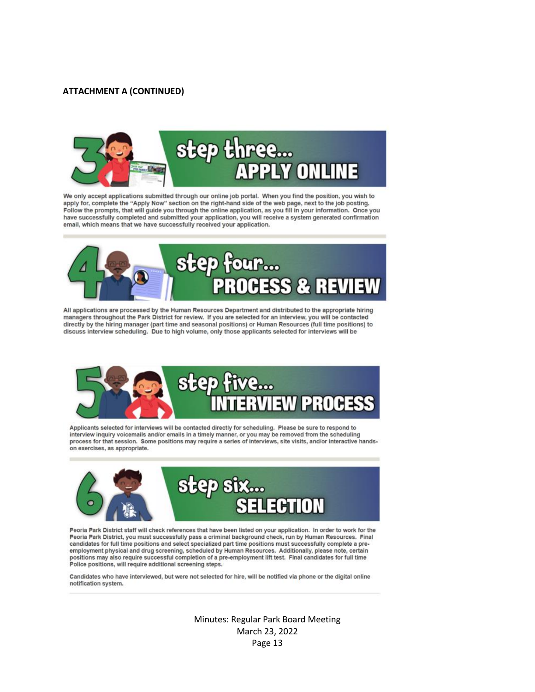#### **ATTACHMENT A (CONTINUED)**



We only accept applications submitted through our online job portal. When you find the position, you wish to apply for, complete the "Apply Now" section on the right-hand side of the web page, next to the job posting. Follow the prompts, that will guide you through the online application, as you fill in your information. Once you have successfully completed and submitted your application, you will receive a system generated confirmation email, which means that we have successfully received your application.



All applications are processed by the Human Resources Department and distributed to the appropriate hiring managers throughout the Park District for review. If you are selected for an interview, you will be contacted directly by the hiring manager (part time and seasonal positions) or Human Resources (full time positions) to discuss interview scheduling. Due to high volume, only those applicants selected for interviews will be



Applicants selected for interviews will be contacted directly for scheduling. Please be sure to respond to interview inquiry volcemalls and/or emails in a timely manner, or you may be removed from the scheduling<br>process for that session. Some positions may require a series of interviews, site visits, and/or interactive handson exercises, as appropriate.



Peoria Park District staff will check references that have been listed on your application. In order to work for the Peoria Park District, you must successfully pass a criminal background check, run by Human Resources. Final candidates for full time positions and select specialized part time positions must successfully complete a preemployment physical and drug screening, scheduled by Human Resources. Additionally, please note, certain positions may also require successful completion of a pre-employment lift test. Final candidates for full time Police positions, will require additional screening steps.

Candidates who have interviewed, but were not selected for hire, will be notified via phone or the digital online notification system.